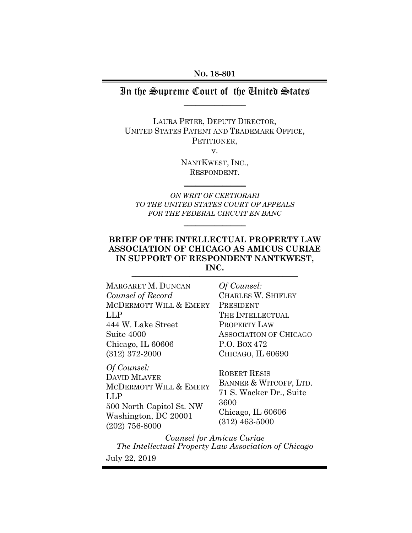#### **NO. 18-801**

# In the Supreme Court of the United States  $\overline{\phantom{a}}$  , where  $\overline{\phantom{a}}$

LAURA PETER, DEPUTY DIRECTOR, UNITED STATES PATENT AND TRADEMARK OFFICE, PETITIONER, v.

> NANTKWEST, INC., RESPONDENT.

 $\frac{1}{2}$ 

*ON WRIT OF CERTIORARI TO THE UNITED STATES COURT OF APPEALS FOR THE FEDERAL CIRCUIT EN BANC* 

 $\frac{1}{2}$ 

# **BRIEF OF THE INTELLECTUAL PROPERTY LAW ASSOCIATION OF CHICAGO AS AMICUS CURIAE IN SUPPORT OF RESPONDENT NANTKWEST, INC.**

| MARGARET M. DUNCAN     | Of Counsel:                   |
|------------------------|-------------------------------|
| Counsel of Record      | CHARLES W. SHIFLEY            |
| MCDERMOTT WILL & EMERY | PRESIDENT                     |
| LLP                    | THE INTELLECTUAL              |
| 444 W. Lake Street     | <b>PROPERTY LAW</b>           |
| Suite 4000             | <b>ASSOCIATION OF CHICAGO</b> |
| Chicago, IL 60606      | P.O. Box 472                  |
| $(312)$ 372-2000       | CHICAGO, IL 60690             |
| $\Omega$ f Councel.    |                               |

*Of Counsel:*  DAVID MLAVER MCDERMOTT WILL & EMERY LLP 500 North Capitol St. NW Washington, DC 20001 (202) 756-8000

ROBERT RESIS BANNER & WITCOFF, LTD. 71 S. Wacker Dr., Suite 3600 Chicago, IL 60606 (312) 463-5000

*Counsel for Amicus Curiae The Intellectual Property Law Association of Chicago*  July 22, 2019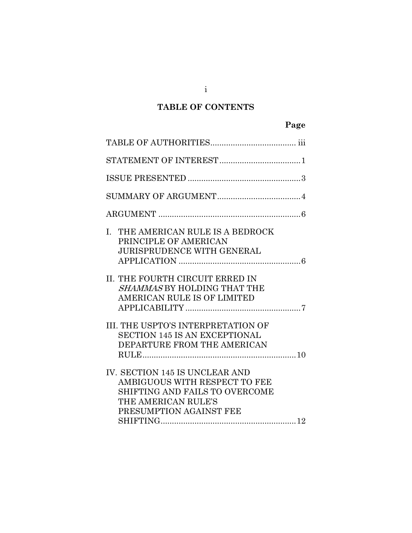# **TABLE OF CONTENTS**

| THE AMERICAN RULE IS A BEDROCK<br>L.<br>PRINCIPLE OF AMERICAN<br><b>JURISPRUDENCE WITH GENERAL</b>                                                  |  |
|-----------------------------------------------------------------------------------------------------------------------------------------------------|--|
| II. THE FOURTH CIRCUIT ERRED IN<br>SHAMMAS BY HOLDING THAT THE<br>AMERICAN RULE IS OF LIMITED                                                       |  |
| <b>III. THE USPTO'S INTERPRETATION OF</b><br><b>SECTION 145 IS AN EXCEPTIONAL</b><br>DEPARTURE FROM THE AMERICAN                                    |  |
| IV. SECTION 145 IS UNCLEAR AND<br>AMBIGUOUS WITH RESPECT TO FEE<br>SHIFTING AND FAILS TO OVERCOME<br>THE AMERICAN RULE'S<br>PRESUMPTION AGAINST FEE |  |

i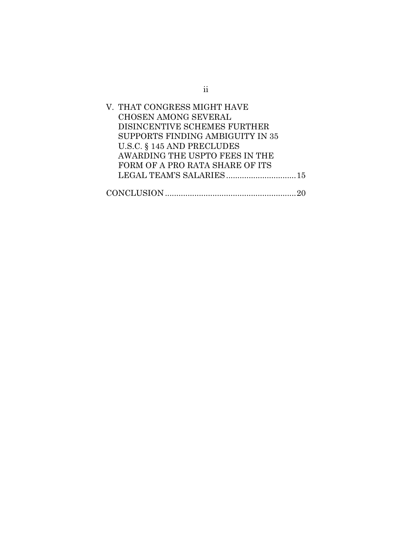| V. THAT CONGRESS MIGHT HAVE      |  |
|----------------------------------|--|
| <b>CHOSEN AMONG SEVERAL</b>      |  |
| DISINCENTIVE SCHEMES FURTHER     |  |
| SUPPORTS FINDING AMBIGUITY IN 35 |  |
| U.S.C. § 145 AND PRECLUDES       |  |
| AWARDING THE USPTO FEES IN THE   |  |
| FORM OF A PRO RATA SHARE OF ITS  |  |
| LEGAL TEAM'S SALARIES 15         |  |
|                                  |  |
|                                  |  |

ii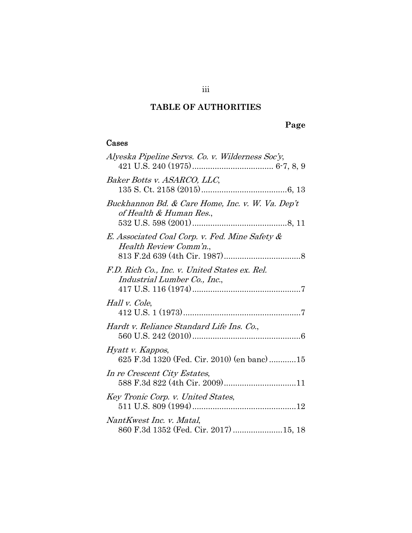# **TABLE OF AUTHORITIES**

# **Page**

## Cases

| Alyeska Pipeline Servs. Co. v. Wilderness Soc'y,                              |
|-------------------------------------------------------------------------------|
| Baker Botts v. ASARCO, LLC,                                                   |
| Buckhannon Bd. & Care Home, Inc. v. W. Va. Dep't<br>of Health & Human Res.,   |
| E. Associated Coal Corp. v. Fed. Mine Safety &<br>Health Review Comm'n.,      |
| F.D. Rich Co., Inc. v. United States ex. Rel.<br>Industrial Lumber Co., Inc., |
| Hall v. Cole,                                                                 |
| Hardt v. Reliance Standard Life Ins. Co.,                                     |
| Hyatt v. Kappos,<br>625 F.3d 1320 (Fed. Cir. 2010) (en banc) 15               |
| In re Crescent City Estates,<br>588 F.3d 822 (4th Cir. 2009)11                |
| Key Tronic Corp. v. United States,                                            |
| NantKwest Inc. v. Matal,<br>860 F.3d 1352 (Fed. Cir. 2017) 15, 18             |

iii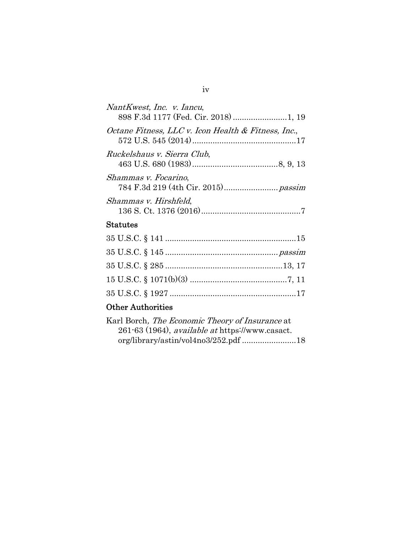| NantKwest, Inc. v. Iancu,<br>898 F.3d 1177 (Fed. Cir. 2018)  1, 19 |
|--------------------------------------------------------------------|
| Octane Fitness, LLC v. Icon Health & Fitness, Inc.,                |
| Ruckelshaus v. Sierra Club,                                        |
| Shammas v. Focarino,                                               |
| Shammas v. Hirshfeld,                                              |
| Statutes                                                           |

# Other Authorities

| Karl Borch, <i>The Economic Theory of Insurance</i> at |  |
|--------------------------------------------------------|--|
| 261-63 (1964), available at https://www.casact.        |  |
|                                                        |  |

## iv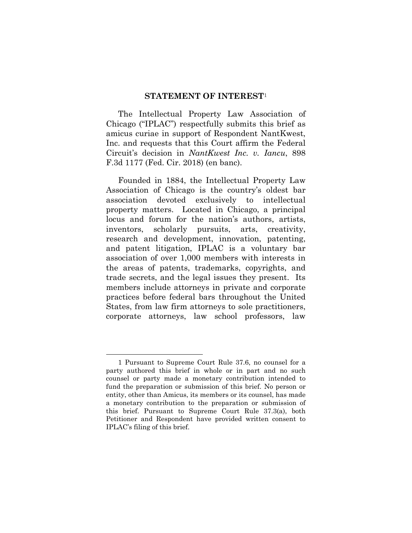#### **STATEMENT OF INTEREST**<sup>1</sup>

The Intellectual Property Law Association of Chicago ("IPLAC") respectfully submits this brief as amicus curiae in support of Respondent NantKwest, Inc. and requests that this Court affirm the Federal Circuit's decision in *NantKwest Inc. v. Iancu*, 898 F.3d 1177 (Fed. Cir. 2018) (en banc).

Founded in 1884, the Intellectual Property Law Association of Chicago is the country's oldest bar association devoted exclusively to intellectual property matters. Located in Chicago, a principal locus and forum for the nation's authors, artists, inventors, scholarly pursuits, arts, creativity, research and development, innovation, patenting, and patent litigation, IPLAC is a voluntary bar association of over 1,000 members with interests in the areas of patents, trademarks, copyrights, and trade secrets, and the legal issues they present. Its members include attorneys in private and corporate practices before federal bars throughout the United States, from law firm attorneys to sole practitioners, corporate attorneys, law school professors, law

<sup>1</sup> Pursuant to Supreme Court Rule 37.6, no counsel for a party authored this brief in whole or in part and no such counsel or party made a monetary contribution intended to fund the preparation or submission of this brief. No person or entity, other than Amicus, its members or its counsel, has made a monetary contribution to the preparation or submission of this brief. Pursuant to Supreme Court Rule 37.3(a), both Petitioner and Respondent have provided written consent to IPLAC's filing of this brief.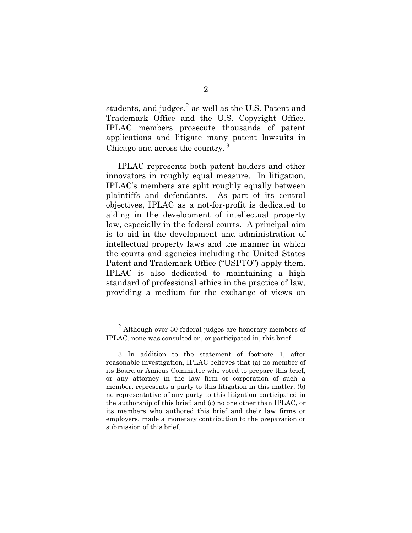students, and judges,<sup>2</sup> as well as the U.S. Patent and Trademark Office and the U.S. Copyright Office. IPLAC members prosecute thousands of patent applications and litigate many patent lawsuits in Chicago and across the country. <sup>3</sup>

IPLAC represents both patent holders and other innovators in roughly equal measure. In litigation, IPLAC's members are split roughly equally between plaintiffs and defendants. As part of its central objectives, IPLAC as a not-for-profit is dedicated to aiding in the development of intellectual property law, especially in the federal courts. A principal aim is to aid in the development and administration of intellectual property laws and the manner in which the courts and agencies including the United States Patent and Trademark Office ("USPTO") apply them. IPLAC is also dedicated to maintaining a high standard of professional ethics in the practice of law, providing a medium for the exchange of views on

 $2$  Although over 30 federal judges are honorary members of IPLAC, none was consulted on, or participated in, this brief.

<sup>3</sup> In addition to the statement of footnote 1, after reasonable investigation, IPLAC believes that (a) no member of its Board or Amicus Committee who voted to prepare this brief, or any attorney in the law firm or corporation of such a member, represents a party to this litigation in this matter; (b) no representative of any party to this litigation participated in the authorship of this brief; and (c) no one other than IPLAC, or its members who authored this brief and their law firms or employers, made a monetary contribution to the preparation or submission of this brief.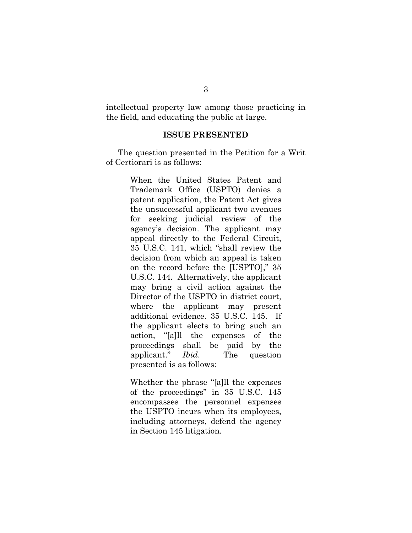intellectual property law among those practicing in the field, and educating the public at large.

#### **ISSUE PRESENTED**

The question presented in the Petition for a Writ of Certiorari is as follows:

> When the United States Patent and Trademark Office (USPTO) denies a patent application, the Patent Act gives the unsuccessful applicant two avenues for seeking judicial review of the agency's decision. The applicant may appeal directly to the Federal Circuit, 35 U.S.C. 141, which "shall review the decision from which an appeal is taken on the record before the [USPTO]," 35 U.S.C. 144. Alternatively, the applicant may bring a civil action against the Director of the USPTO in district court, where the applicant may present additional evidence. 35 U.S.C. 145. If the applicant elects to bring such an action, "[a]ll the expenses of the proceedings shall be paid by the applicant." *Ibid*. The question presented is as follows:

> Whether the phrase "[a]ll the expenses of the proceedings" in 35 U.S.C. 145 encompasses the personnel expenses the USPTO incurs when its employees, including attorneys, defend the agency in Section 145 litigation.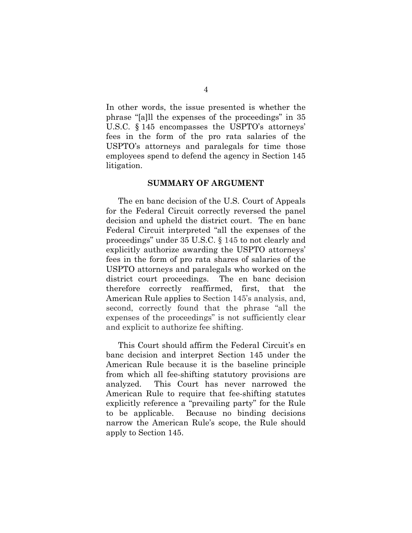In other words, the issue presented is whether the phrase "[a]ll the expenses of the proceedings" in 35 U.S.C. § 145 encompasses the USPTO's attorneys' fees in the form of the pro rata salaries of the USPTO's attorneys and paralegals for time those employees spend to defend the agency in Section 145 litigation.

#### **SUMMARY OF ARGUMENT**

The en banc decision of the U.S. Court of Appeals for the Federal Circuit correctly reversed the panel decision and upheld the district court. The en banc Federal Circuit interpreted "all the expenses of the proceedings" under 35 U.S.C. § 145 to not clearly and explicitly authorize awarding the USPTO attorneys' fees in the form of pro rata shares of salaries of the USPTO attorneys and paralegals who worked on the district court proceedings. The en banc decision therefore correctly reaffirmed, first, that the American Rule applies to Section 145's analysis, and, second, correctly found that the phrase "all the expenses of the proceedings" is not sufficiently clear and explicit to authorize fee shifting.

This Court should affirm the Federal Circuit's en banc decision and interpret Section 145 under the American Rule because it is the baseline principle from which all fee-shifting statutory provisions are analyzed. This Court has never narrowed the American Rule to require that fee-shifting statutes explicitly reference a "prevailing party" for the Rule to be applicable. Because no binding decisions narrow the American Rule's scope, the Rule should apply to Section 145.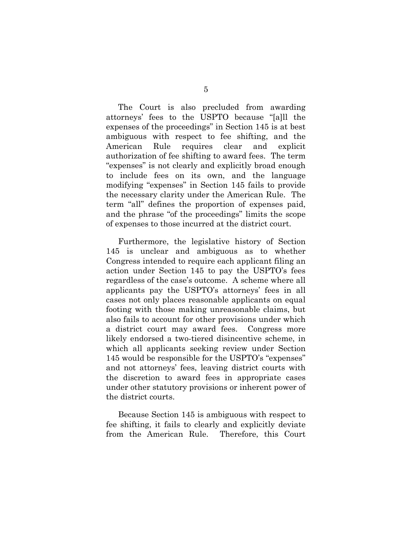The Court is also precluded from awarding attorneys' fees to the USPTO because "[a]ll the expenses of the proceedings" in Section 145 is at best ambiguous with respect to fee shifting, and the American Rule requires clear and explicit authorization of fee shifting to award fees. The term "expenses" is not clearly and explicitly broad enough to include fees on its own, and the language modifying "expenses" in Section 145 fails to provide the necessary clarity under the American Rule. The term "all" defines the proportion of expenses paid, and the phrase "of the proceedings" limits the scope of expenses to those incurred at the district court.

Furthermore, the legislative history of Section 145 is unclear and ambiguous as to whether Congress intended to require each applicant filing an action under Section 145 to pay the USPTO's fees regardless of the case's outcome. A scheme where all applicants pay the USPTO's attorneys' fees in all cases not only places reasonable applicants on equal footing with those making unreasonable claims, but also fails to account for other provisions under which a district court may award fees. Congress more likely endorsed a two-tiered disincentive scheme, in which all applicants seeking review under Section 145 would be responsible for the USPTO's "expenses" and not attorneys' fees, leaving district courts with the discretion to award fees in appropriate cases under other statutory provisions or inherent power of the district courts.

Because Section 145 is ambiguous with respect to fee shifting, it fails to clearly and explicitly deviate from the American Rule. Therefore, this Court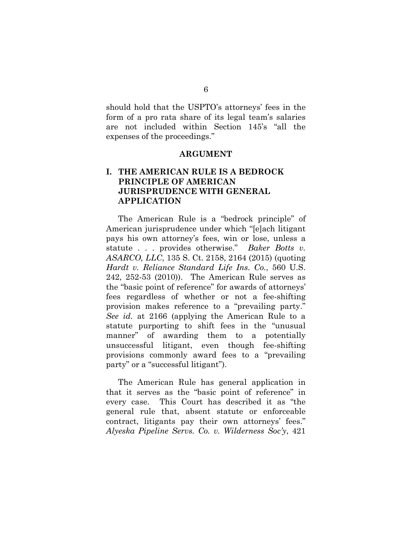should hold that the USPTO's attorneys' fees in the form of a pro rata share of its legal team's salaries are not included within Section 145's "all the expenses of the proceedings."

#### **ARGUMENT**

## **I. THE AMERICAN RULE IS A BEDROCK PRINCIPLE OF AMERICAN JURISPRUDENCE WITH GENERAL APPLICATION**

The American Rule is a "bedrock principle" of American jurisprudence under which "[e]ach litigant pays his own attorney's fees, win or lose, unless a statute . . . provides otherwise." *Baker Botts v. ASARCO, LLC*, 135 S. Ct. 2158, 2164 (2015) (quoting *Hardt v. Reliance Standard Life Ins. Co.*, 560 U.S. 242, 252-53 (2010)). The American Rule serves as the "basic point of reference" for awards of attorneys' fees regardless of whether or not a fee-shifting provision makes reference to a "prevailing party." *See id.* at 2166 (applying the American Rule to a statute purporting to shift fees in the "unusual manner" of awarding them to a potentially unsuccessful litigant, even though fee-shifting provisions commonly award fees to a "prevailing party" or a "successful litigant").

The American Rule has general application in that it serves as the "basic point of reference" in every case. This Court has described it as "the general rule that, absent statute or enforceable contract, litigants pay their own attorneys' fees." *Alyeska Pipeline Servs. Co. v. Wilderness Soc'y*, 421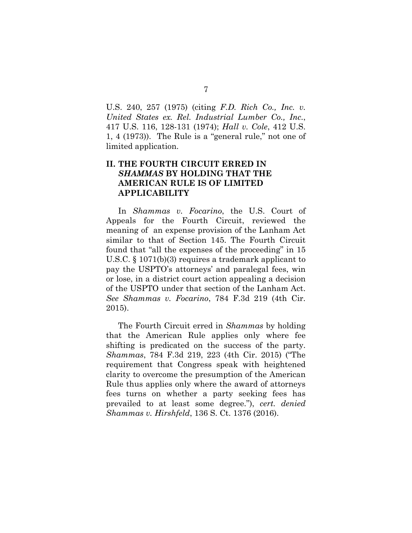U.S. 240, 257 (1975) (citing *F.D. Rich Co., Inc. v. United States ex. Rel. Industrial Lumber Co., Inc.*, 417 U.S. 116, 128-131 (1974); *Hall v. Cole*, 412 U.S. 1, 4 (1973)). The Rule is a "general rule," not one of limited application.

### **II. THE FOURTH CIRCUIT ERRED IN**  *SHAMMAS* **BY HOLDING THAT THE AMERICAN RULE IS OF LIMITED APPLICABILITY**

In *Shammas v. Focarino*, the U.S. Court of Appeals for the Fourth Circuit, reviewed the meaning of an expense provision of the Lanham Act similar to that of Section 145. The Fourth Circuit found that "all the expenses of the proceeding" in 15 U.S.C. § 1071(b)(3) requires a trademark applicant to pay the USPTO's attorneys' and paralegal fees, win or lose, in a district court action appealing a decision of the USPTO under that section of the Lanham Act. *See Shammas v. Focarino*, 784 F.3d 219 (4th Cir. 2015).

The Fourth Circuit erred in *Shammas* by holding that the American Rule applies only where fee shifting is predicated on the success of the party. *Shammas*, 784 F.3d 219, 223 (4th Cir. 2015) ("The requirement that Congress speak with heightened clarity to overcome the presumption of the American Rule thus applies only where the award of attorneys fees turns on whether a party seeking fees has prevailed to at least some degree."), *cert. denied Shammas v. Hirshfeld*, 136 S. Ct. 1376 (2016).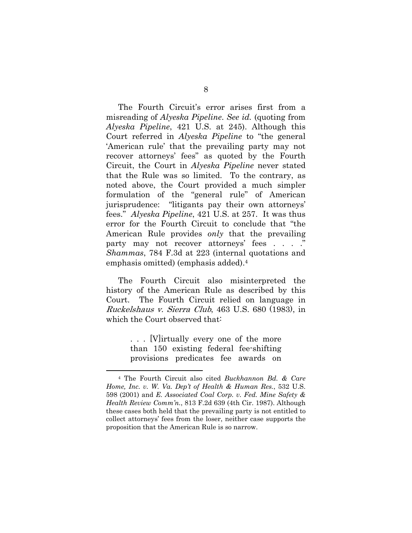The Fourth Circuit's error arises first from a misreading of *Alyeska Pipeline*. *See id.* (quoting from *Alyeska Pipeline*, 421 U.S. at 245). Although this Court referred in *Alyeska Pipeline* to "the general 'American rule' that the prevailing party may not recover attorneys' fees" as quoted by the Fourth Circuit, the Court in *Alyeska Pipeline* never stated that the Rule was so limited. To the contrary, as noted above, the Court provided a much simpler formulation of the "general rule" of American jurisprudence: "litigants pay their own attorneys' fees." *Alyeska Pipeline*, 421 U.S. at 257. It was thus error for the Fourth Circuit to conclude that "the American Rule provides *only* that the prevailing party may not recover attorneys' fees . . . ." *Shammas*, 784 F.3d at 223 (internal quotations and emphasis omitted) (emphasis added).4

The Fourth Circuit also misinterpreted the history of the American Rule as described by this Court. The Fourth Circuit relied on language in Ruckelshaus v. Sierra Club, 463 U.S. 680 (1983), in which the Court observed that:

> . . . [V]irtually every one of the more than 150 existing federal fee-shifting provisions predicates fee awards on

<sup>4</sup> The Fourth Circuit also cited *Buckhannon Bd. & Care Home, Inc. v. W. Va. Dep't of Health & Human Res.*, 532 U.S. 598 (2001) and *E. Associated Coal Corp. v. Fed. Mine Safety & Health Review Comm'n.*, 813 F.2d 639 (4th Cir. 1987). Although these cases both held that the prevailing party is not entitled to collect attorneys' fees from the loser, neither case supports the proposition that the American Rule is so narrow.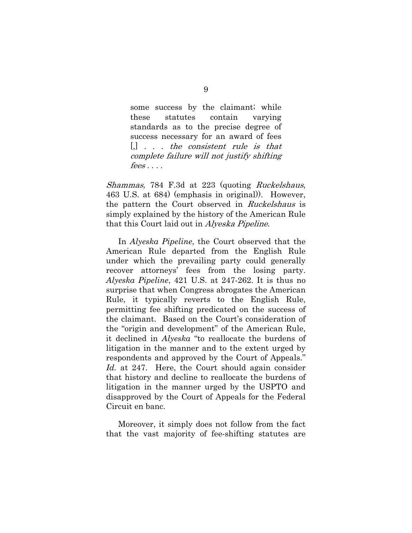some success by the claimant; while these statutes contain varying standards as to the precise degree of success necessary for an award of fees  $\left[ , \right]$  . . . the consistent rule is that complete failure will not justify shifting  $fees \dots$ 

Shammas, 784 F.3d at 223 (quoting Ruckelshaus, 463 U.S. at 684) (emphasis in original)). However, the pattern the Court observed in Ruckelshaus is simply explained by the history of the American Rule that this Court laid out in Alyeska Pipeline.

In *Alyeska Pipeline*, the Court observed that the American Rule departed from the English Rule under which the prevailing party could generally recover attorneys' fees from the losing party. *Alyeska Pipeline*, 421 U.S. at 247-262. It is thus no surprise that when Congress abrogates the American Rule, it typically reverts to the English Rule, permitting fee shifting predicated on the success of the claimant. Based on the Court's consideration of the "origin and development" of the American Rule, it declined in *Alyeska* "to reallocate the burdens of litigation in the manner and to the extent urged by respondents and approved by the Court of Appeals." *Id.* at 247. Here, the Court should again consider that history and decline to reallocate the burdens of litigation in the manner urged by the USPTO and disapproved by the Court of Appeals for the Federal Circuit en banc.

Moreover, it simply does not follow from the fact that the vast majority of fee-shifting statutes are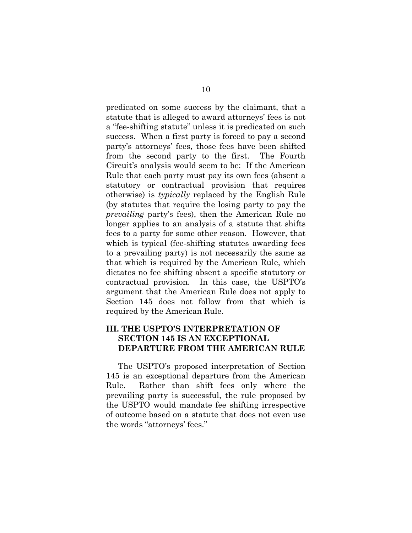predicated on some success by the claimant, that a statute that is alleged to award attorneys' fees is not a "fee-shifting statute" unless it is predicated on such success. When a first party is forced to pay a second party's attorneys' fees, those fees have been shifted from the second party to the first. The Fourth Circuit's analysis would seem to be: If the American Rule that each party must pay its own fees (absent a statutory or contractual provision that requires otherwise) is *typically* replaced by the English Rule (by statutes that require the losing party to pay the *prevailing* party's fees), then the American Rule no longer applies to an analysis of a statute that shifts fees to a party for some other reason. However, that which is typical (fee-shifting statutes awarding fees to a prevailing party) is not necessarily the same as that which is required by the American Rule, which dictates no fee shifting absent a specific statutory or contractual provision. In this case, the USPTO's argument that the American Rule does not apply to Section 145 does not follow from that which is required by the American Rule.

### **III. THE USPTO'S INTERPRETATION OF SECTION 145 IS AN EXCEPTIONAL DEPARTURE FROM THE AMERICAN RULE**

The USPTO's proposed interpretation of Section 145 is an exceptional departure from the American Rule. Rather than shift fees only where the prevailing party is successful, the rule proposed by the USPTO would mandate fee shifting irrespective of outcome based on a statute that does not even use the words "attorneys' fees."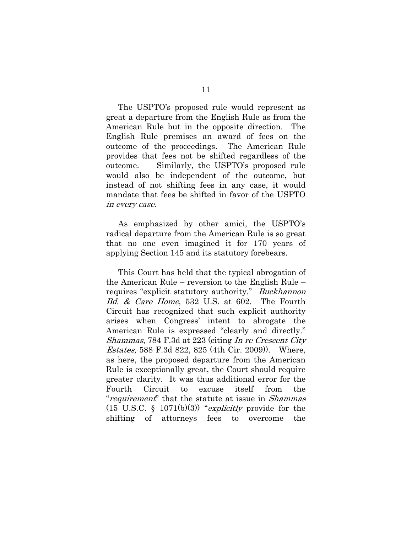The USPTO's proposed rule would represent as great a departure from the English Rule as from the American Rule but in the opposite direction. The English Rule premises an award of fees on the outcome of the proceedings. The American Rule provides that fees not be shifted regardless of the outcome. Similarly, the USPTO's proposed rule would also be independent of the outcome, but instead of not shifting fees in any case, it would mandate that fees be shifted in favor of the USPTO in every case.

As emphasized by other amici, the USPTO's radical departure from the American Rule is so great that no one even imagined it for 170 years of applying Section 145 and its statutory forebears.

This Court has held that the typical abrogation of the American Rule – reversion to the English Rule – requires "explicit statutory authority." *Buckhannon* Bd. & Care Home, 532 U.S. at 602. The Fourth Circuit has recognized that such explicit authority arises when Congress' intent to abrogate the American Rule is expressed "clearly and directly." Shammas, 784 F.3d at 223 (citing In re Crescent City Estates, 588 F.3d 822, 825 (4th Cir. 2009)). Where, as here, the proposed departure from the American Rule is exceptionally great, the Court should require greater clarity. It was thus additional error for the Fourth Circuit to excuse itself from the "*requirement*" that the statute at issue in *Shammas*  $(15 \text{ U.S.C. } \S 1071(b)(3))$  "*explicitly* provide for the shifting of attorneys fees to overcome the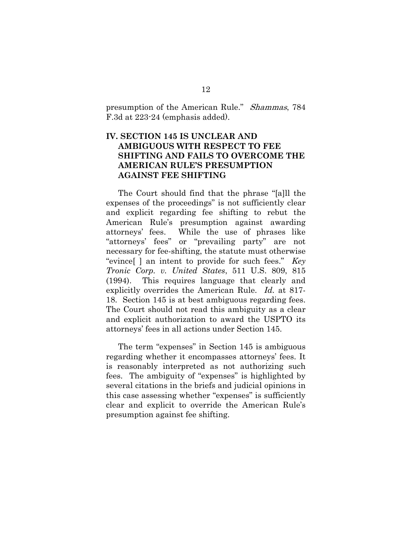presumption of the American Rule." Shammas, 784 F.3d at 223-24 (emphasis added).

### **IV.SECTION 145 IS UNCLEAR AND AMBIGUOUS WITH RESPECT TO FEE SHIFTING AND FAILS TO OVERCOME THE AMERICAN RULE'S PRESUMPTION AGAINST FEE SHIFTING**

The Court should find that the phrase "[a]ll the expenses of the proceedings" is not sufficiently clear and explicit regarding fee shifting to rebut the American Rule's presumption against awarding attorneys' fees. While the use of phrases like "attorneys' fees" or "prevailing party" are not necessary for fee-shifting, the statute must otherwise "evince[ ] an intent to provide for such fees." *Key Tronic Corp. v. United States*, 511 U.S. 809, 815 (1994). This requires language that clearly and explicitly overrides the American Rule. *Id.* at 817- 18. Section 145 is at best ambiguous regarding fees. The Court should not read this ambiguity as a clear and explicit authorization to award the USPTO its attorneys' fees in all actions under Section 145.

The term "expenses" in Section 145 is ambiguous regarding whether it encompasses attorneys' fees. It is reasonably interpreted as not authorizing such fees. The ambiguity of "expenses" is highlighted by several citations in the briefs and judicial opinions in this case assessing whether "expenses" is sufficiently clear and explicit to override the American Rule's presumption against fee shifting.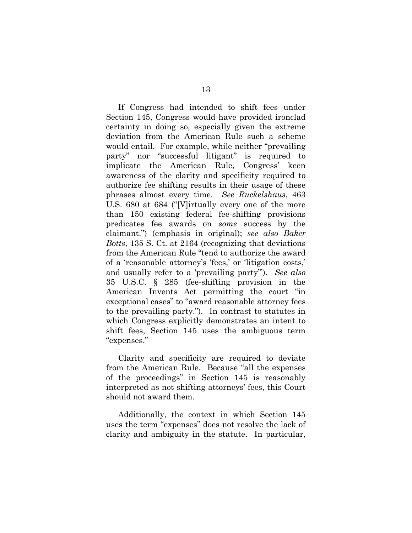If Congress had intended to shift fees under Section 145, Congress would have provided ironclad certainty in doing so, especially given the extreme deviation from the American Rule such a scheme would entail. For example, while neither "prevailing party" nor "successful litigant" is required to implicate the American Rule, Congress' keen awareness of the clarity and specificity required to authorize fee shifting results in their usage of these phrases almost every time. *See Ruckelshaus*, 463 U.S. 680 at 684 ("[V]irtually every one of the more than 150 existing federal fee-shifting provisions predicates fee awards on *some* success by the claimant.") (emphasis in original); *see also Baker Botts*, 135 S. Ct. at 2164 (recognizing that deviations from the American Rule "tend to authorize the award of a 'reasonable attorney's 'fees,' or 'litigation costs,' and usually refer to a 'prevailing party'"). *See also*  35 U.S.C. § 285 (fee-shifting provision in the American Invents Act permitting the court "in exceptional cases" to "award reasonable attorney fees to the prevailing party."). In contrast to statutes in which Congress explicitly demonstrates an intent to shift fees, Section 145 uses the ambiguous term "expenses."

Clarity and specificity are required to deviate from the American Rule. Because "all the expenses of the proceedings" in Section 145 is reasonably interpreted as not shifting attorneys' fees, this Court should not award them.

Additionally, the context in which Section 145 uses the term "expenses" does not resolve the lack of clarity and ambiguity in the statute. In particular,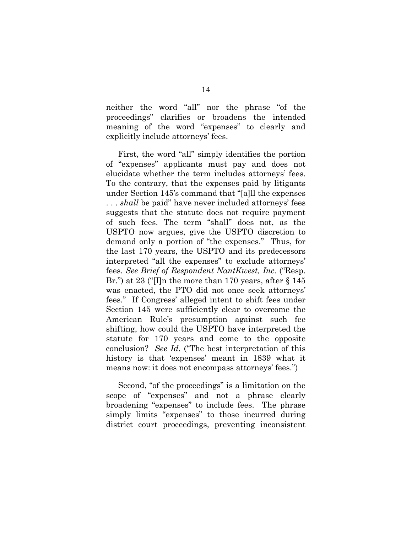neither the word "all" nor the phrase "of the proceedings" clarifies or broadens the intended meaning of the word "expenses" to clearly and explicitly include attorneys' fees.

First, the word "all" simply identifies the portion of "expenses" applicants must pay and does not elucidate whether the term includes attorneys' fees. To the contrary, that the expenses paid by litigants under Section 145's command that "[a]ll the expenses . . . *shall* be paid" have never included attorneys' fees suggests that the statute does not require payment of such fees. The term "shall" does not, as the USPTO now argues, give the USPTO discretion to demand only a portion of "the expenses." Thus, for the last 170 years, the USPTO and its predecessors interpreted "all the expenses" to exclude attorneys' fees. *See Brief of Respondent NantKwest, Inc.* ("Resp. Br.") at 23 ("I]n the more than 170 years, after § 145 was enacted, the PTO did not once seek attorneys' fees." If Congress' alleged intent to shift fees under Section 145 were sufficiently clear to overcome the American Rule's presumption against such fee shifting, how could the USPTO have interpreted the statute for 170 years and come to the opposite conclusion? *See Id.* ("The best interpretation of this history is that 'expenses' meant in 1839 what it means now: it does not encompass attorneys' fees.")

Second, "of the proceedings" is a limitation on the scope of "expenses" and not a phrase clearly broadening "expenses" to include fees. The phrase simply limits "expenses" to those incurred during district court proceedings, preventing inconsistent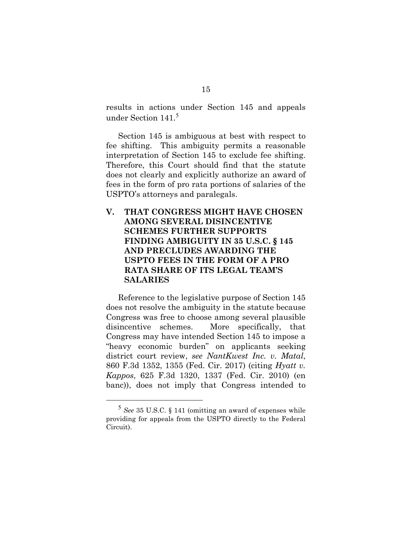results in actions under Section 145 and appeals under Section 141.<sup>5</sup>

Section 145 is ambiguous at best with respect to fee shifting. This ambiguity permits a reasonable interpretation of Section 145 to exclude fee shifting. Therefore, this Court should find that the statute does not clearly and explicitly authorize an award of fees in the form of pro rata portions of salaries of the USPTO's attorneys and paralegals.

## **V. THAT CONGRESS MIGHT HAVE CHOSEN AMONG SEVERAL DISINCENTIVE SCHEMES FURTHER SUPPORTS FINDING AMBIGUITY IN 35 U.S.C. § 145 AND PRECLUDES AWARDING THE USPTO FEES IN THE FORM OF A PRO RATA SHARE OF ITS LEGAL TEAM'S SALARIES**

Reference to the legislative purpose of Section 145 does not resolve the ambiguity in the statute because Congress was free to choose among several plausible disincentive schemes. More specifically, that Congress may have intended Section 145 to impose a "heavy economic burden" on applicants seeking district court review, *see NantKwest Inc. v. Matal*, 860 F.3d 1352, 1355 (Fed. Cir. 2017) (citing *Hyatt v. Kappos*, 625 F.3d 1320, 1337 (Fed. Cir. 2010) (en banc)), does not imply that Congress intended to

<sup>5</sup> *See* 35 U.S.C. § 141 (omitting an award of expenses while providing for appeals from the USPTO directly to the Federal Circuit).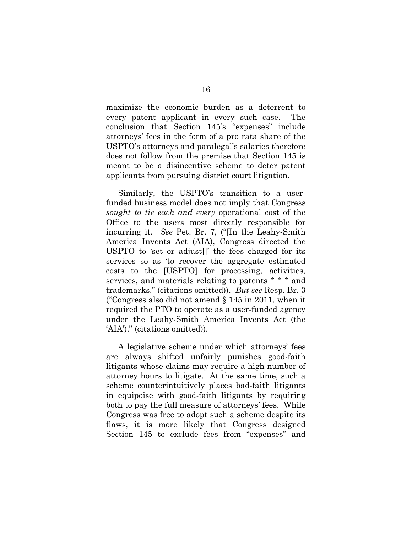maximize the economic burden as a deterrent to every patent applicant in every such case. The conclusion that Section 145's "expenses" include attorneys' fees in the form of a pro rata share of the USPTO's attorneys and paralegal's salaries therefore does not follow from the premise that Section 145 is meant to be a disincentive scheme to deter patent applicants from pursuing district court litigation.

Similarly, the USPTO's transition to a userfunded business model does not imply that Congress *sought to tie each and every* operational cost of the Office to the users most directly responsible for incurring it. *See* Pet. Br. 7, ("[In the Leahy-Smith America Invents Act (AIA), Congress directed the USPTO to 'set or adjust[]' the fees charged for its services so as 'to recover the aggregate estimated costs to the [USPTO] for processing, activities, services, and materials relating to patents \* \* \* and trademarks." (citations omitted)). *But see* Resp. Br. 3 ("Congress also did not amend § 145 in 2011, when it required the PTO to operate as a user-funded agency under the Leahy-Smith America Invents Act (the 'AIA')." (citations omitted)).

A legislative scheme under which attorneys' fees are always shifted unfairly punishes good-faith litigants whose claims may require a high number of attorney hours to litigate. At the same time, such a scheme counterintuitively places bad-faith litigants in equipoise with good-faith litigants by requiring both to pay the full measure of attorneys' fees. While Congress was free to adopt such a scheme despite its flaws, it is more likely that Congress designed Section 145 to exclude fees from "expenses" and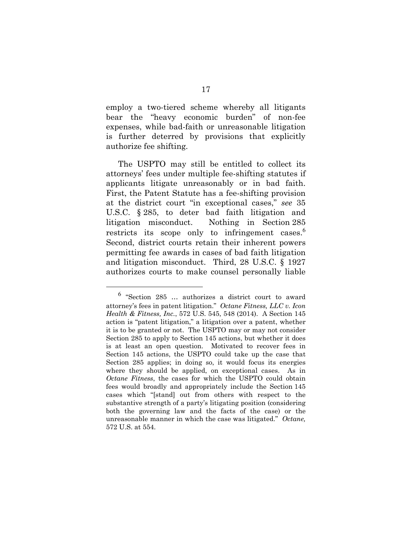employ a two-tiered scheme whereby all litigants bear the "heavy economic burden" of non-fee expenses, while bad-faith or unreasonable litigation is further deterred by provisions that explicitly authorize fee shifting.

The USPTO may still be entitled to collect its attorneys' fees under multiple fee-shifting statutes if applicants litigate unreasonably or in bad faith. First, the Patent Statute has a fee-shifting provision at the district court "in exceptional cases," *see* 35 U.S.C. § 285, to deter bad faith litigation and litigation misconduct. Nothing in Section 285 restricts its scope only to infringement cases.<sup>6</sup> Second, district courts retain their inherent powers permitting fee awards in cases of bad faith litigation and litigation misconduct. Third, 28 U.S.C. § 1927 authorizes courts to make counsel personally liable

<sup>6</sup> "Section 285 … authorizes a district court to award attorney's fees in patent litigation." *Octane Fitness, LLC v. Icon Health & Fitness, Inc.*, 572 U.S. 545, 548 (2014). A Section 145 action is "patent litigation," a litigation over a patent, whether it is to be granted or not. The USPTO may or may not consider Section 285 to apply to Section 145 actions, but whether it does is at least an open question. Motivated to recover fees in Section 145 actions, the USPTO could take up the case that Section 285 applies; in doing so, it would focus its energies where they should be applied, on exceptional cases. As in *Octane Fitness*, the cases for which the USPTO could obtain fees would broadly and appropriately include the Section 145 cases which "[stand] out from others with respect to the substantive strength of a party's litigating position (considering both the governing law and the facts of the case) or the unreasonable manner in which the case was litigated." *Octane,*  572 U.S. at 554.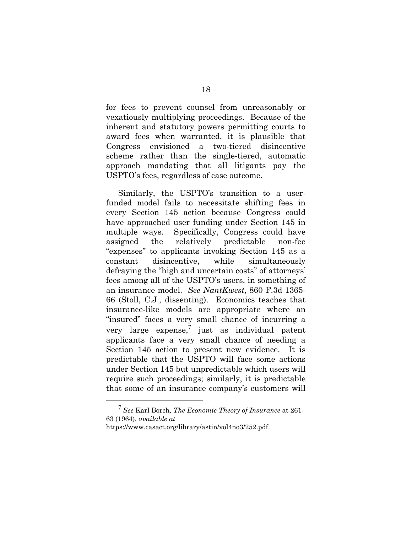for fees to prevent counsel from unreasonably or vexatiously multiplying proceedings. Because of the inherent and statutory powers permitting courts to award fees when warranted, it is plausible that Congress envisioned a two-tiered disincentive scheme rather than the single-tiered, automatic approach mandating that all litigants pay the USPTO's fees, regardless of case outcome.

Similarly, the USPTO's transition to a userfunded model fails to necessitate shifting fees in every Section 145 action because Congress could have approached user funding under Section 145 in multiple ways. Specifically, Congress could have assigned the relatively predictable non-fee "expenses" to applicants invoking Section 145 as a constant disincentive, while simultaneously defraying the "high and uncertain costs" of attorneys' fees among all of the USPTO's users, in something of an insurance model. *See NantKwest*, 860 F.3d 1365- 66 (Stoll, C.J., dissenting). Economics teaches that insurance-like models are appropriate where an "insured" faces a very small chance of incurring a very large  $expense$ , just as individual patent applicants face a very small chance of needing a Section 145 action to present new evidence. It is predictable that the USPTO will face some actions under Section 145 but unpredictable which users will require such proceedings; similarly, it is predictable that some of an insurance company's customers will

<sup>7</sup> *See* Karl Borch*, The Economic Theory of Insurance* at 261- 63 (1964), *available at* 

https://www.casact.org/library/astin/vol4no3/252.pdf.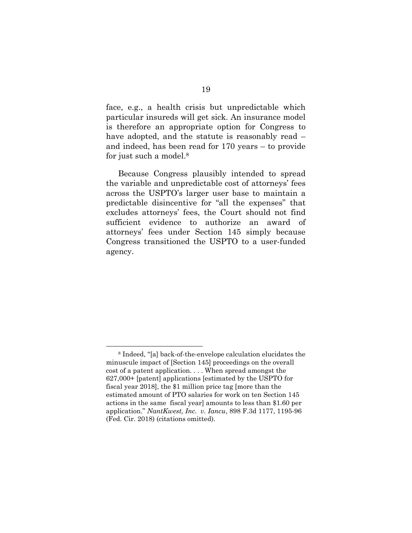face, e.g., a health crisis but unpredictable which particular insureds will get sick. An insurance model is therefore an appropriate option for Congress to have adopted, and the statute is reasonably read – and indeed, has been read for 170 years – to provide for just such a model.8

Because Congress plausibly intended to spread the variable and unpredictable cost of attorneys' fees across the USPTO's larger user base to maintain a predictable disincentive for "all the expenses" that excludes attorneys' fees, the Court should not find sufficient evidence to authorize an award of attorneys' fees under Section 145 simply because Congress transitioned the USPTO to a user-funded agency.

<sup>8</sup> Indeed, "[a] back-of-the-envelope calculation elucidates the minuscule impact of [Section 145] proceedings on the overall cost of a patent application. . . . When spread amongst the 627,000+ [patent] applications [estimated by the USPTO for fiscal year 2018], the \$1 million price tag [more than the estimated amount of PTO salaries for work on ten Section 145 actions in the same fiscal year] amounts to less than \$1.60 per application." *NantKwest, Inc. v. Iancu*, 898 F.3d 1177, 1195-96 (Fed. Cir. 2018) (citations omitted).